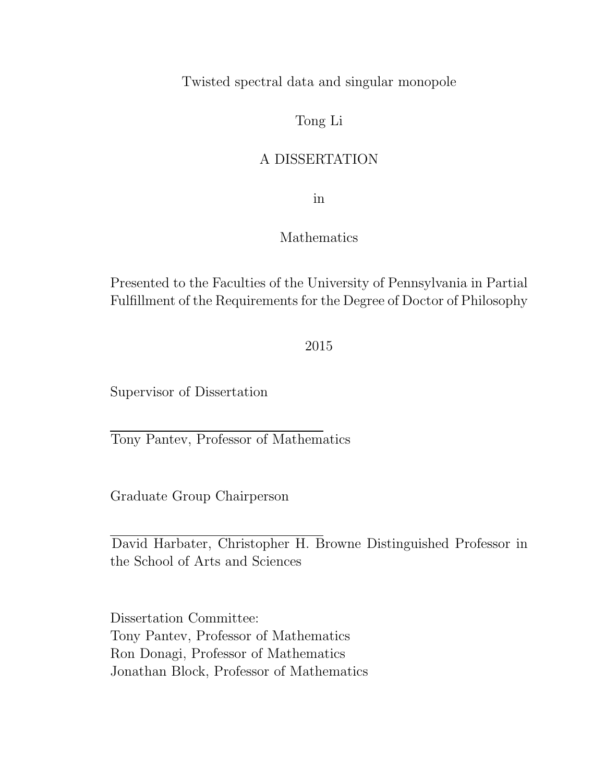Twisted spectral data and singular monopole

### Tong Li

### A DISSERTATION

in

### Mathematics

Presented to the Faculties of the University of Pennsylvania in Partial Fulfillment of the Requirements for the Degree of Doctor of Philosophy

2015

Supervisor of Dissertation

Tony Pantev, Professor of Mathematics

Graduate Group Chairperson

David Harbater, Christopher H. Browne Distinguished Professor in the School of Arts and Sciences

Dissertation Committee: Tony Pantev, Professor of Mathematics Ron Donagi, Professor of Mathematics Jonathan Block, Professor of Mathematics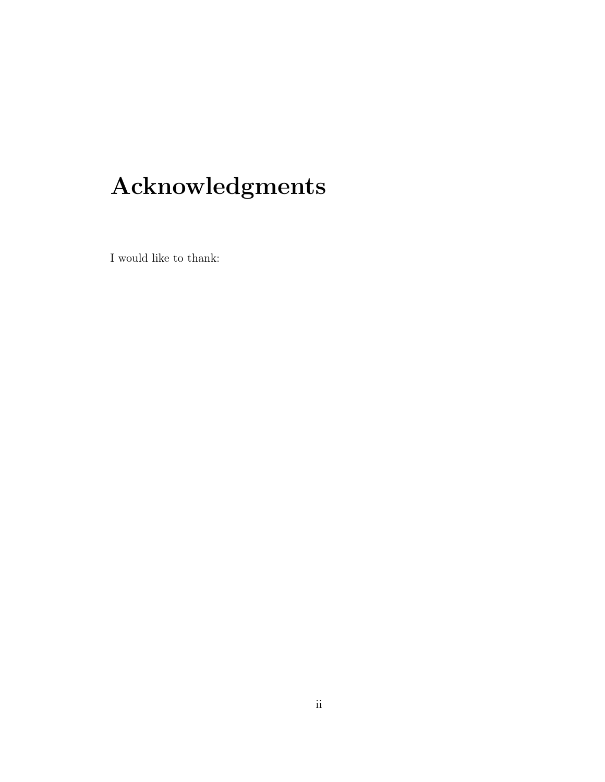# Acknowledgments

I would like to thank: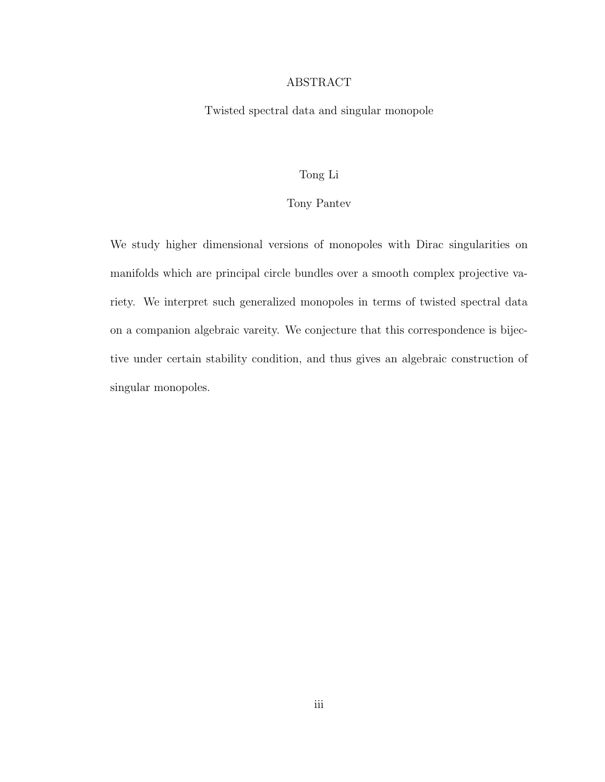#### ABSTRACT

Twisted spectral data and singular monopole

#### Tong Li

#### Tony Pantev

We study higher dimensional versions of monopoles with Dirac singularities on manifolds which are principal circle bundles over a smooth complex projective variety. We interpret such generalized monopoles in terms of twisted spectral data on a companion algebraic vareity. We conjecture that this correspondence is bijective under certain stability condition, and thus gives an algebraic construction of singular monopoles.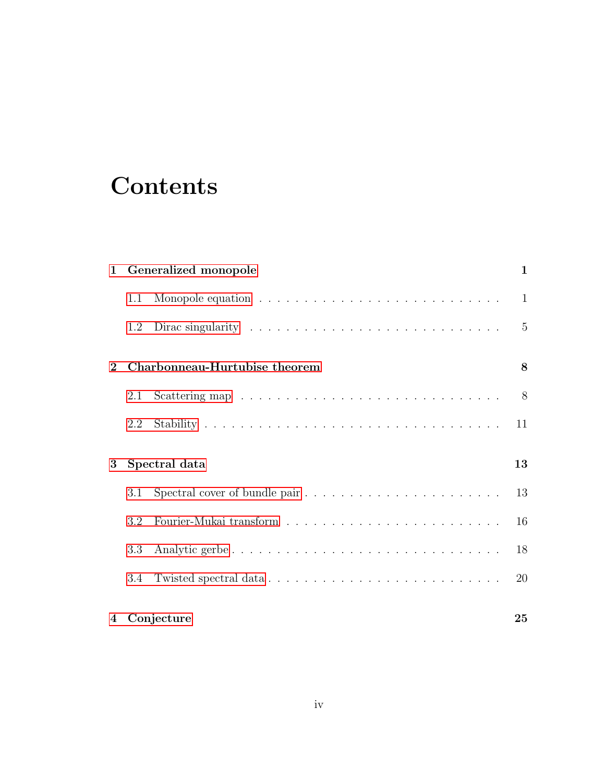# **Contents**

| Generalized monopole<br>$\mathbf{1}$          |         |                                                                                       | 1              |
|-----------------------------------------------|---------|---------------------------------------------------------------------------------------|----------------|
|                                               | 1.1     |                                                                                       | 1              |
|                                               | 1.2     | Dirac singularity $\dots \dots \dots \dots \dots \dots \dots \dots \dots \dots \dots$ | $\overline{5}$ |
| Charbonneau-Hurtubise theorem<br>$\mathbf{2}$ |         |                                                                                       | 8              |
|                                               | 2.1     |                                                                                       | 8              |
|                                               | $2.2\,$ |                                                                                       | 11             |
| Spectral data<br>3                            |         |                                                                                       | 13             |
|                                               | 3.1     |                                                                                       | 13             |
|                                               | 3.2     |                                                                                       | 16             |
|                                               | 3.3     | Analytic gerbe                                                                        | 18             |
|                                               | 3.4     |                                                                                       | 20             |
| Conjecture<br>4                               |         | 25                                                                                    |                |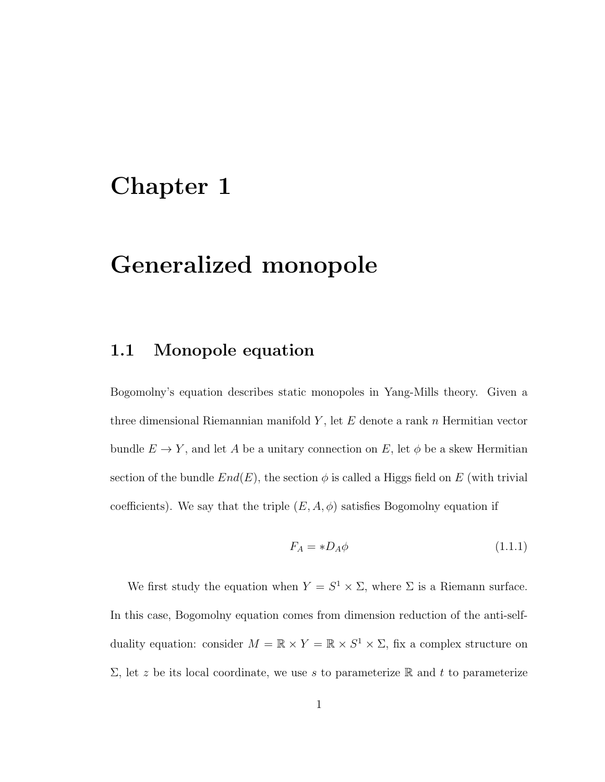## <span id="page-4-0"></span>Chapter 1

## Generalized monopole

#### <span id="page-4-1"></span>1.1 Monopole equation

Bogomolny's equation describes static monopoles in Yang-Mills theory. Given a three dimensional Riemannian manifold  $Y$ , let  $E$  denote a rank  $n$  Hermitian vector bundle  $E \to Y$ , and let A be a unitary connection on E, let  $\phi$  be a skew Hermitian section of the bundle  $End(E)$ , the section  $\phi$  is called a Higgs field on E (with trivial coefficients). We say that the triple  $(E, A, \phi)$  satisfies Bogomolny equation if

$$
F_A = *D_A \phi \tag{1.1.1}
$$

We first study the equation when  $Y = S^1 \times \Sigma$ , where  $\Sigma$  is a Riemann surface. In this case, Bogomolny equation comes from dimension reduction of the anti-selfduality equation: consider  $M = \mathbb{R} \times Y = \mathbb{R} \times S^1 \times \Sigma$ , fix a complex structure on  $\Sigma$ , let z be its local coordinate, we use s to parameterize R and t to parameterize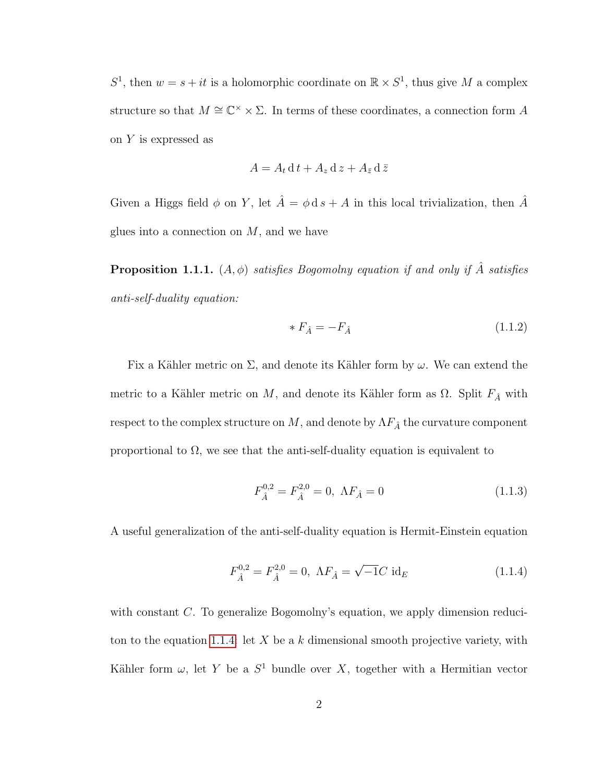$S^1$ , then  $w = s + it$  is a holomorphic coordinate on  $\mathbb{R} \times S^1$ , thus give M a complex structure so that  $M \cong \mathbb{C}^{\times} \times \Sigma$ . In terms of these coordinates, a connection form A on Y is expressed as

$$
A = A_t \, \mathrm{d} \, t + A_z \, \mathrm{d} \, z + A_{\bar{z}} \, \mathrm{d} \, \bar{z}
$$

Given a Higgs field  $\phi$  on Y, let  $\hat{A} = \phi \, ds + A$  in this local trivialization, then  $\hat{A}$ glues into a connection on  $M$ , and we have

**Proposition 1.1.1.**  $(A, \phi)$  satisfies Bogomolny equation if and only if  $\hat{A}$  satisfies anti-self-duality equation:

$$
*F_{\hat{A}} = -F_{\hat{A}} \tag{1.1.2}
$$

Fix a Kähler metric on  $\Sigma$ , and denote its Kähler form by  $\omega$ . We can extend the metric to a Kähler metric on  $M$ , and denote its Kähler form as  $\Omega$ . Split  $F_{\hat{A}}$  with respect to the complex structure on  $M,$  and denote by  $\Lambda F_{\hat A}$  the curvature component proportional to  $\Omega$ , we see that the anti-self-duality equation is equivalent to

$$
F_{\hat{A}}^{0,2} = F_{\hat{A}}^{2,0} = 0, \ \Lambda F_{\hat{A}} = 0 \tag{1.1.3}
$$

A useful generalization of the anti-self-duality equation is Hermit-Einstein equation

<span id="page-5-0"></span>
$$
F_{\hat{A}}^{0,2} = F_{\hat{A}}^{2,0} = 0, \ \Lambda F_{\hat{A}} = \sqrt{-1}C \ \mathrm{id}_{E}
$$
 (1.1.4)

with constant C. To generalize Bogomolny's equation, we apply dimension reduci-ton to the equation [1.1.4:](#page-5-0) let X be a k dimensional smooth projective variety, with Kähler form  $\omega$ , let Y be a  $S^1$  bundle over X, together with a Hermitian vector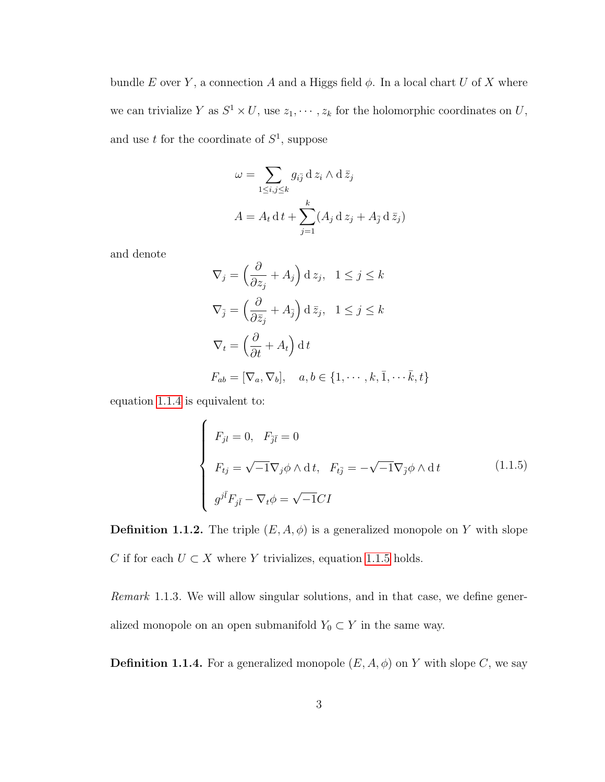bundle E over Y, a connection A and a Higgs field  $\phi$ . In a local chart U of X where we can trivialize Y as  $S^1 \times U$ , use  $z_1, \dots, z_k$  for the holomorphic coordinates on U, and use t for the coordinate of  $S^1$ , suppose

$$
\omega = \sum_{1 \le i,j \le k} g_{i\bar{j}} \, d \, z_i \wedge d \, \bar{z}_j
$$

$$
A = A_t \, d \, t + \sum_{j=1}^k (A_j \, d \, z_j + A_{\bar{j}} \, d \, \bar{z}_j)
$$

and denote

$$
\nabla_j = \left(\frac{\partial}{\partial z_j} + A_j\right) \mathrm{d} z_j, \quad 1 \le j \le k
$$
  

$$
\nabla_{\bar{j}} = \left(\frac{\partial}{\partial \bar{z}_j} + A_{\bar{j}}\right) \mathrm{d} \bar{z}_j, \quad 1 \le j \le k
$$
  

$$
\nabla_t = \left(\frac{\partial}{\partial t} + A_t\right) \mathrm{d} t
$$
  

$$
F_{ab} = [\nabla_a, \nabla_b], \quad a, b \in \{1, \dots, k, \bar{1}, \dots, \bar{k}, t\}
$$

equation [1.1.4](#page-5-0) is equivalent to:

<span id="page-6-0"></span>
$$
\begin{cases}\nF_{jl} = 0, & F_{\bar{j}\bar{l}} = 0 \\
F_{tj} = \sqrt{-1} \nabla_j \phi \wedge dt, & F_{t\bar{j}} = -\sqrt{-1} \nabla_{\bar{j}} \phi \wedge dt \\
g^{j\bar{l}} F_{j\bar{l}} - \nabla_t \phi = \sqrt{-1} CI\n\end{cases}
$$
\n(1.1.5)

**Definition 1.1.2.** The triple  $(E, A, \phi)$  is a generalized monopole on Y with slope C if for each  $U \subset X$  where Y trivializes, equation [1.1.5](#page-6-0) holds.

Remark 1.1.3. We will allow singular solutions, and in that case, we define generalized monopole on an open submanifold  $Y_0 \subset Y$  in the same way.

**Definition 1.1.4.** For a generalized monopole  $(E, A, \phi)$  on Y with slope C, we say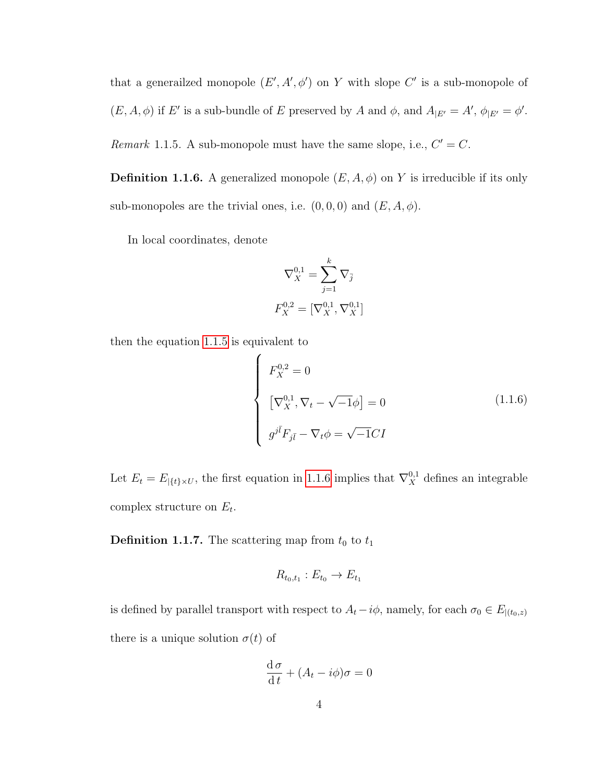that a generalized monopole  $(E', A', \phi')$  on Y with slope C' is a sub-monopole of  $(E, A, \phi)$  if E' is a sub-bundle of E preserved by A and  $\phi$ , and  $A_{|E'} = A'$ ,  $\phi_{|E'} = \phi'$ . Remark 1.1.5. A sub-monopole must have the same slope, i.e.,  $C' = C$ .

**Definition 1.1.6.** A generalized monopole  $(E, A, \phi)$  on Y is irreducible if its only sub-monopoles are the trivial ones, i.e.  $(0,0,0)$  and  $(E, A, \phi)$ .

In local coordinates, denote

$$
\nabla_X^{0,1} = \sum_{j=1}^k \nabla_{\bar{j}}
$$

$$
F_X^{0,2} = [\nabla_X^{0,1}, \nabla_X^{0,1}]
$$

then the equation [1.1.5](#page-6-0) is equivalent to

<span id="page-7-0"></span>
$$
\begin{cases}\nF_X^{0,2} = 0 \\
\left[\nabla_X^{0,1}, \nabla_t - \sqrt{-1}\phi\right] = 0 \\
g^{j\bar{l}}F_{j\bar{l}} - \nabla_t \phi = \sqrt{-1}CI\n\end{cases}
$$
\n(1.1.6)

Let  $E_t = E_{|\{t\}\times U}$ , the first equation in [1.1.6](#page-7-0) implies that  $\nabla_X^{0,1}$  defines an integrable complex structure on  $E_t$ .

**Definition 1.1.7.** The scattering map from  $t_0$  to  $t_1$ 

$$
R_{t_0,t_1}:E_{t_0}\to E_{t_1}
$$

is defined by parallel transport with respect to  $A_t - i\phi$ , namely, for each  $\sigma_0 \in E_{|(t_0,z)}$ there is a unique solution  $\sigma(t)$  of

$$
\frac{\mathrm{d}\,\sigma}{\mathrm{d}\,t} + (A_t - i\phi)\sigma = 0
$$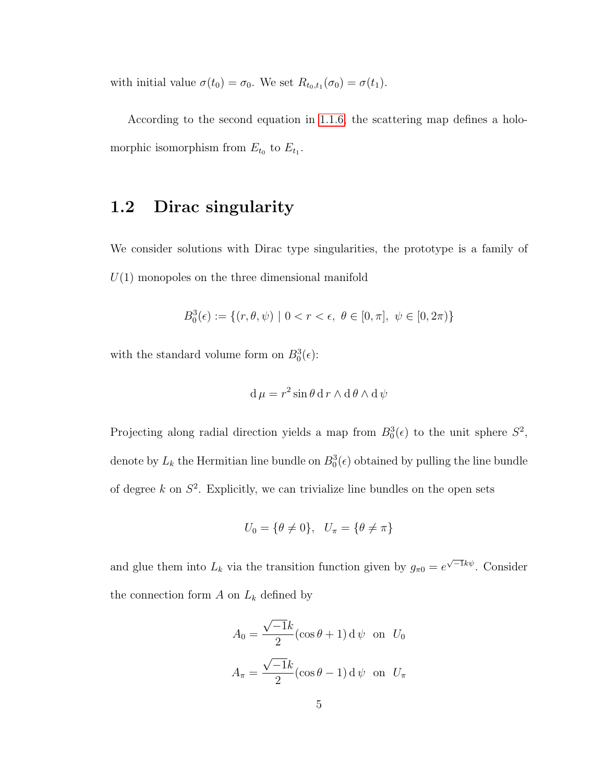with initial value  $\sigma(t_0) = \sigma_0$ . We set  $R_{t_0,t_1}(\sigma_0) = \sigma(t_1)$ .

According to the second equation in [1.1.6,](#page-7-0) the scattering map defines a holomorphic isomorphism from  $E_{t_0}$  to  $E_{t_1}$ .

### <span id="page-8-0"></span>1.2 Dirac singularity

We consider solutions with Dirac type singularities, the prototype is a family of  $U(1)$  monopoles on the three dimensional manifold

$$
B_0^3(\epsilon) := \{ (r, \theta, \psi) \mid 0 < r < \epsilon, \ \theta \in [0, \pi], \ \psi \in [0, 2\pi) \}
$$

with the standard volume form on  $B_0^3(\epsilon)$ :

$$
d \mu = r^2 \sin \theta \, dr \wedge d \theta \wedge d \psi
$$

Projecting along radial direction yields a map from  $B_0^3(\epsilon)$  to the unit sphere  $S^2$ , denote by  $L_k$  the Hermitian line bundle on  $B_0^3(\epsilon)$  obtained by pulling the line bundle of degree  $k$  on  $S^2$ . Explicitly, we can trivialize line bundles on the open sets

$$
U_0 = \{\theta \neq 0\}, \quad U_\pi = \{\theta \neq \pi\}
$$

and glue them into  $L_k$  via the transition function given by  $g_{\pi 0} = e^{\sqrt{-1}k\psi}$ . Consider the connection form  $A$  on  $L_k$  defined by

$$
A_0 = \frac{\sqrt{-1}k}{2} (\cos \theta + 1) d\psi \text{ on } U_0
$$

$$
A_{\pi} = \frac{\sqrt{-1}k}{2} (\cos \theta - 1) d\psi \text{ on } U_{\pi}
$$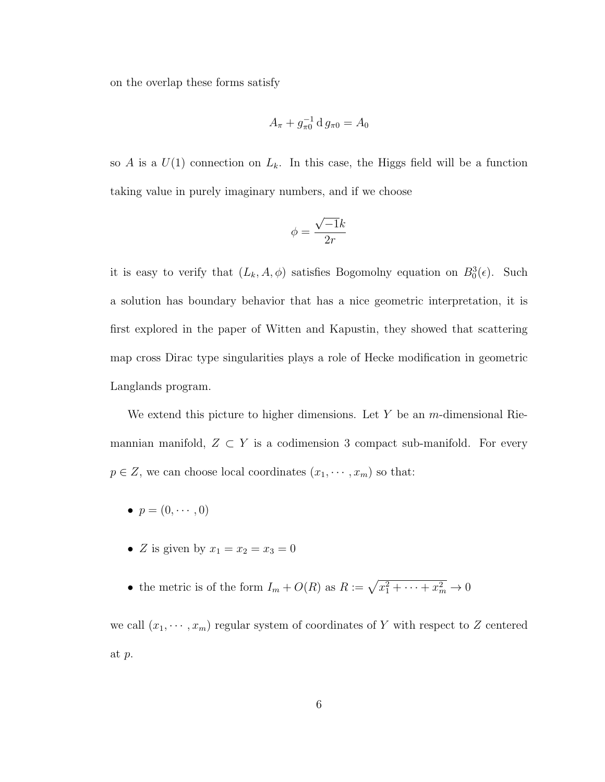on the overlap these forms satisfy

$$
A_{\pi} + g_{\pi 0}^{-1} \, \mathrm{d} \, g_{\pi 0} = A_0
$$

so A is a  $U(1)$  connection on  $L_k$ . In this case, the Higgs field will be a function taking value in purely imaginary numbers, and if we choose

$$
\phi = \frac{\sqrt{-1}k}{2r}
$$

it is easy to verify that  $(L_k, A, \phi)$  satisfies Bogomolny equation on  $B_0^3(\epsilon)$ . Such a solution has boundary behavior that has a nice geometric interpretation, it is first explored in the paper of Witten and Kapustin, they showed that scattering map cross Dirac type singularities plays a role of Hecke modification in geometric Langlands program.

We extend this picture to higher dimensions. Let  $Y$  be an m-dimensional Riemannian manifold,  $Z \subset Y$  is a codimension 3 compact sub-manifold. For every  $p \in Z$ , we can choose local coordinates  $(x_1, \dots, x_m)$  so that:

- $\bullet$   $p = (0, \cdots, 0)$
- Z is given by  $x_1 = x_2 = x_3 = 0$
- the metric is of the form  $I_m + O(R)$  as  $R := \sqrt{x_1^2 + \cdots + x_m^2} \to 0$

we call  $(x_1, \dots, x_m)$  regular system of coordinates of Y with respect to Z centered at p.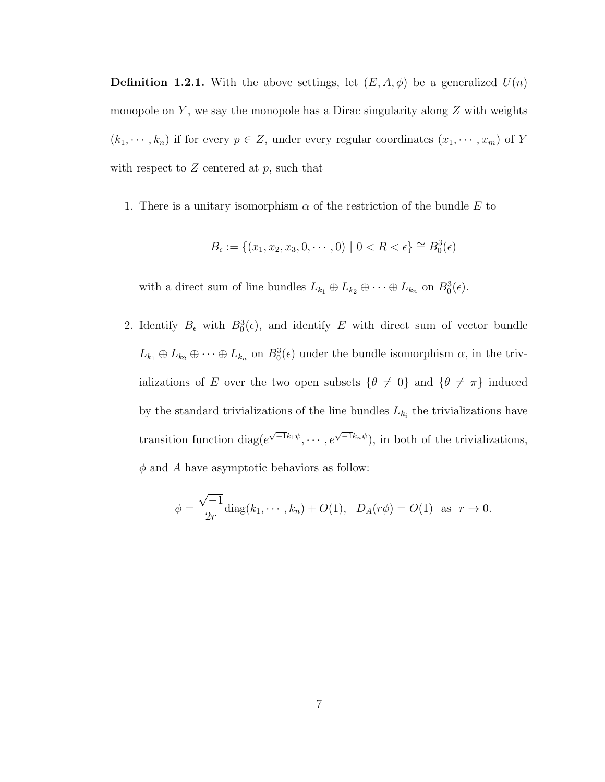**Definition 1.2.1.** With the above settings, let  $(E, A, \phi)$  be a generalized  $U(n)$ monopole on  $Y$ , we say the monopole has a Dirac singularity along  $Z$  with weights  $(k_1, \dots, k_n)$  if for every  $p \in Z$ , under every regular coordinates  $(x_1, \dots, x_m)$  of Y with respect to  $Z$  centered at  $p$ , such that

1. There is a unitary isomorphism  $\alpha$  of the restriction of the bundle E to

$$
B_{\epsilon} := \{ (x_1, x_2, x_3, 0, \cdots, 0) \mid 0 < R < \epsilon \} \cong B_0^3(\epsilon)
$$

with a direct sum of line bundles  $L_{k_1} \oplus L_{k_2} \oplus \cdots \oplus L_{k_n}$  on  $B_0^3(\epsilon)$ .

2. Identify  $B_{\epsilon}$  with  $B_0^3(\epsilon)$ , and identify E with direct sum of vector bundle  $L_{k_1} \oplus L_{k_2} \oplus \cdots \oplus L_{k_n}$  on  $B_0^3(\epsilon)$  under the bundle isomorphism  $\alpha$ , in the trivializations of E over the two open subsets  $\{\theta \neq 0\}$  and  $\{\theta \neq \pi\}$  induced by the standard trivializations of the line bundles  $L_{k_i}$  the trivializations have transition function diag( $e^{\sqrt{-1}k_1\psi}, \cdots, e^{\sqrt{-1}k_n\psi}$ ), in both of the trivializations,  $\phi$  and A have asymptotic behaviors as follow:

$$
\phi = \frac{\sqrt{-1}}{2r} \text{diag}(k_1, \dots, k_n) + O(1), \quad D_A(r\phi) = O(1) \text{ as } r \to 0.
$$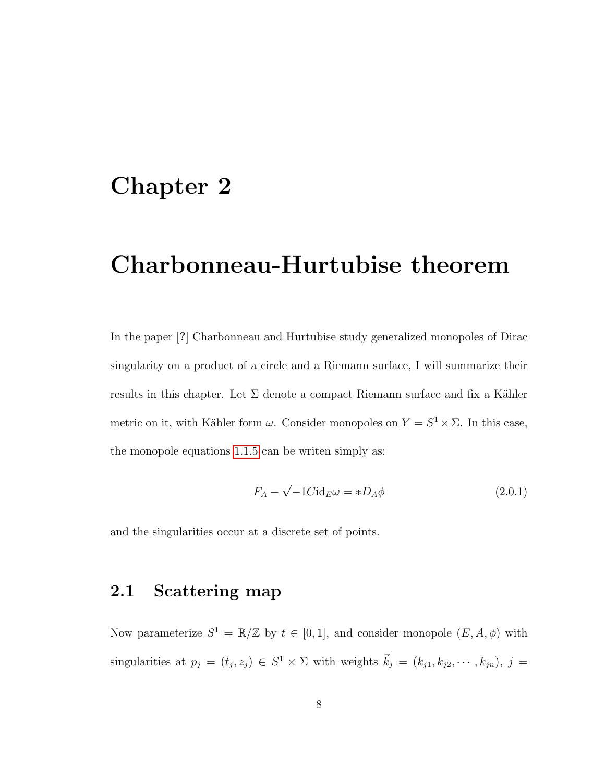### <span id="page-11-0"></span>Chapter 2

## Charbonneau-Hurtubise theorem

In the paper [?] Charbonneau and Hurtubise study generalized monopoles of Dirac singularity on a product of a circle and a Riemann surface, I will summarize their results in this chapter. Let  $\Sigma$  denote a compact Riemann surface and fix a Kähler metric on it, with Kähler form  $\omega$ . Consider monopoles on  $Y = S^1 \times \Sigma$ . In this case, the monopole equations [1.1.5](#page-6-0) can be writen simply as:

$$
F_A - \sqrt{-1}C \mathrm{id}_E \omega = * D_A \phi \tag{2.0.1}
$$

<span id="page-11-1"></span>and the singularities occur at a discrete set of points.

### 2.1 Scattering map

Now parameterize  $S^1 = \mathbb{R}/\mathbb{Z}$  by  $t \in [0,1]$ , and consider monopole  $(E, A, \phi)$  with singularities at  $p_j = (t_j, z_j) \in S^1 \times \Sigma$  with weights  $\vec{k}_j = (k_{j1}, k_{j2}, \dots, k_{jn}), j =$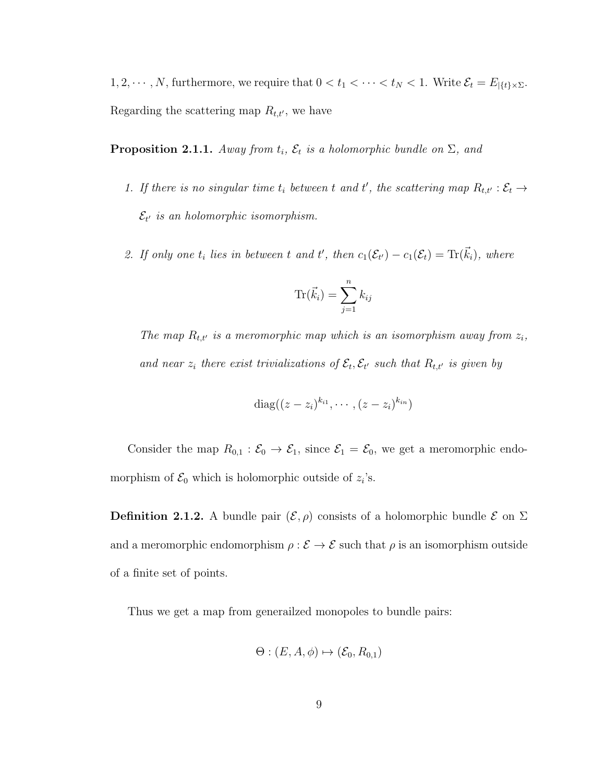1, 2,  $\cdots$ , N, furthermore, we require that  $0 < t_1 < \cdots < t_N < 1$ . Write  $\mathcal{E}_t = E_{|\{t\} \times \Sigma}$ . Regarding the scattering map  $R_{t,t'}$ , we have

**Proposition 2.1.1.** Away from  $t_i$ ,  $\mathcal{E}_t$  is a holomorphic bundle on  $\Sigma$ , and

- 1. If there is no singular time  $t_i$  between t and t', the scattering map  $R_{t,t'} : \mathcal{E}_t \to$  $\mathcal{E}_{t'}$  is an holomorphic isomorphism.
- 2. If only one  $t_i$  lies in between t and t', then  $c_1(\mathcal{E}_{t'}) c_1(\mathcal{E}_t) = \text{Tr}(\vec{k}_i)$ , where

$$
\text{Tr}(\vec{k}_i) = \sum_{j=1}^n k_{ij}
$$

The map  $R_{t,t'}$  is a meromorphic map which is an isomorphism away from  $z_i$ , and near  $z_i$  there exist trivializations of  $\mathcal{E}_t, \mathcal{E}_{t'}$  such that  $R_{t,t'}$  is given by

$$
\mathrm{diag}((z-z_i)^{k_{i1}},\cdots,(z-z_i)^{k_{in}})
$$

Consider the map  $R_{0,1} : \mathcal{E}_0 \to \mathcal{E}_1$ , since  $\mathcal{E}_1 = \mathcal{E}_0$ , we get a meromorphic endomorphism of  $\mathcal{E}_0$  which is holomorphic outside of  $z_i$ 's.

**Definition 2.1.2.** A bundle pair  $(\mathcal{E}, \rho)$  consists of a holomorphic bundle  $\mathcal{E}$  on  $\Sigma$ and a meromorphic endomorphism  $\rho : \mathcal{E} \to \mathcal{E}$  such that  $\rho$  is an isomorphism outside of a finite set of points.

Thus we get a map from generailzed monopoles to bundle pairs:

$$
\Theta: (E, A, \phi) \mapsto (\mathcal{E}_0, R_{0,1})
$$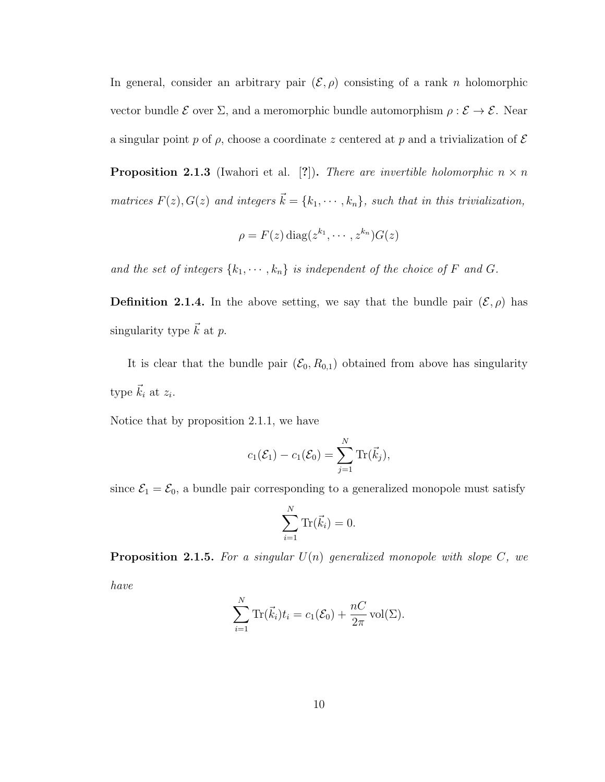In general, consider an arbitrary pair  $(\mathcal{E}, \rho)$  consisting of a rank n holomorphic vector bundle  $\mathcal E$  over  $\Sigma$ , and a meromorphic bundle automorphism  $\rho : \mathcal E \to \mathcal E$ . Near a singular point p of  $\rho$ , choose a coordinate z centered at p and a trivialization of  $\mathcal E$ 

**Proposition 2.1.3** (Iwahori et al. [?]). There are invertible holomorphic  $n \times n$ matrices  $F(z)$ ,  $G(z)$  and integers  $\vec{k} = \{k_1, \dots, k_n\}$ , such that in this trivialization,

$$
\rho = F(z) \operatorname{diag}(z^{k_1}, \cdots, z^{k_n}) G(z)
$$

and the set of integers  $\{k_1, \dots, k_n\}$  is independent of the choice of F and G.

**Definition 2.1.4.** In the above setting, we say that the bundle pair  $(\mathcal{E}, \rho)$  has singularity type  $\vec{k}$  at p.

It is clear that the bundle pair  $(\mathcal{E}_0, R_{0,1})$  obtained from above has singularity type  $\vec{k}_i$  at  $z_i$ .

Notice that by proposition 2.1.1, we have

$$
c_1(\mathcal{E}_1)-c_1(\mathcal{E}_0)=\sum_{j=1}^N \text{Tr}(\vec{k}_j),
$$

since  $\mathcal{E}_1 = \mathcal{E}_0$ , a bundle pair corresponding to a generalized monopole must satisfy

$$
\sum_{i=1}^N \text{Tr}(\vec{k}_i) = 0.
$$

**Proposition 2.1.5.** For a singular  $U(n)$  generalized monopole with slope C, we have

$$
\sum_{i=1}^{N} \text{Tr}(\vec{k}_i) t_i = c_1(\mathcal{E}_0) + \frac{nC}{2\pi} \text{vol}(\Sigma).
$$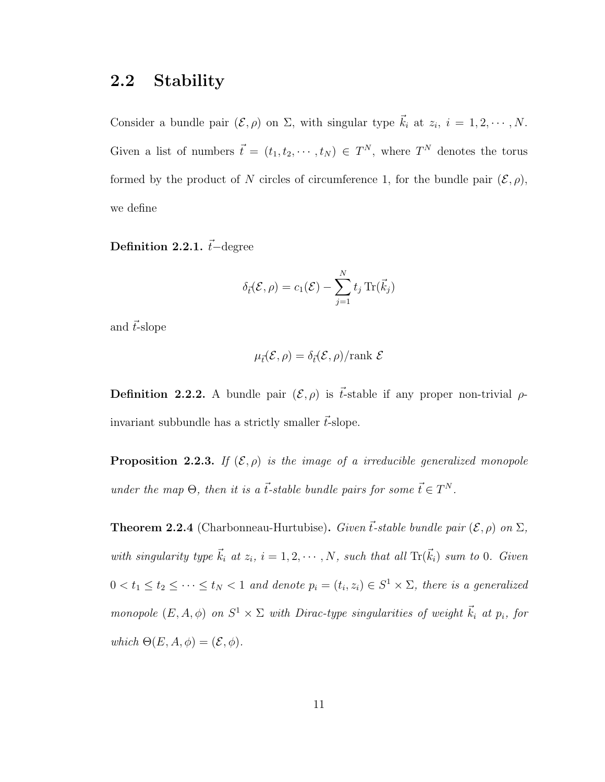### <span id="page-14-0"></span>2.2 Stability

Consider a bundle pair  $(\mathcal{E}, \rho)$  on  $\Sigma$ , with singular type  $\vec{k}_i$  at  $z_i$ ,  $i = 1, 2, \cdots, N$ . Given a list of numbers  $\vec{t} = (t_1, t_2, \dots, t_N) \in T^N$ , where  $T^N$  denotes the torus formed by the product of N circles of circumference 1, for the bundle pair  $(\mathcal{E}, \rho)$ , we define

Definition 2.2.1.  $\vec{t}$ −degree

$$
\delta_{\vec{t}}(\mathcal{E}, \rho) = c_1(\mathcal{E}) - \sum_{j=1}^N t_j \operatorname{Tr}(\vec{k}_j)
$$

and  $\vec{t}$ -slope

$$
\mu_{\vec{t}}(\mathcal{E}, \rho) = \delta_{\vec{t}}(\mathcal{E}, \rho) / \text{rank } \mathcal{E}
$$

**Definition 2.2.2.** A bundle pair  $(\mathcal{E}, \rho)$  is  $\vec{t}$ -stable if any proper non-trivial  $\rho$ invariant subbundle has a strictly smaller  $\vec{t}$ -slope.

**Proposition 2.2.3.** If  $(\mathcal{E}, \rho)$  is the image of a irreducible generalized monopole under the map  $\Theta$ , then it is a  $\vec{t}$ -stable bundle pairs for some  $\vec{t} \in T^N$ .

**Theorem 2.2.4** (Charbonneau-Hurtubise). Given  $\vec{t}$ -stable bundle pair  $(\mathcal{E}, \rho)$  on  $\Sigma$ , with singularity type  $\vec{k}_i$  at  $z_i$ ,  $i = 1, 2, \cdots, N$ , such that all  $\text{Tr}(\vec{k}_i)$  sum to 0. Given  $0 < t_1 \leq t_2 \leq \cdots \leq t_N < 1$  and denote  $p_i = (t_i, z_i) \in S^1 \times \Sigma$ , there is a generalized monopole  $(E, A, \phi)$  on  $S^1 \times \Sigma$  with Dirac-type singularities of weight  $\vec{k}_i$  at  $p_i$ , for which  $\Theta(E, A, \phi) = (\mathcal{E}, \phi)$ .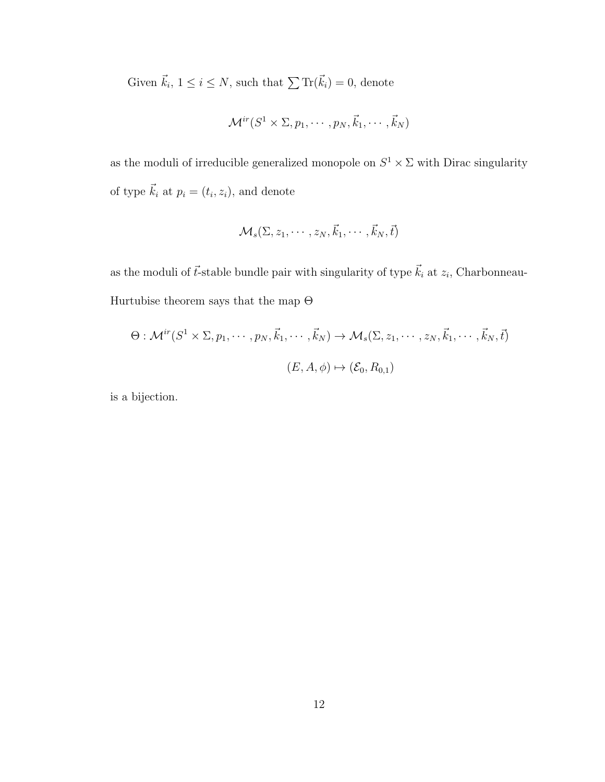Given  $\vec{k}_i, 1 \leq i \leq N$ , such that  $\sum \text{Tr}(\vec{k}_i) = 0$ , denote

$$
\mathcal{M}^{ir}(S^1 \times \Sigma, p_1, \cdots, p_N, \vec{k}_1, \cdots, \vec{k}_N)
$$

as the moduli of irreducible generalized monopole on  $S^1 \times \Sigma$  with Dirac singularity of type  $\vec{k}_i$  at  $p_i = (t_i, z_i)$ , and denote

$$
\mathcal{M}_s(\Sigma, z_1, \cdots, z_N, \vec{k}_1, \cdots, \vec{k}_N, \vec{t})
$$

as the moduli of  $\vec{t}$ -stable bundle pair with singularity of type  $\vec{k}_i$  at  $z_i$ , Charbonneau-Hurtubise theorem says that the map  $\Theta$ 

$$
\Theta: \mathcal{M}^{ir}(S^1 \times \Sigma, p_1, \cdots, p_N, \vec{k}_1, \cdots, \vec{k}_N) \to \mathcal{M}_s(\Sigma, z_1, \cdots, z_N, \vec{k}_1, \cdots, \vec{k}_N, \vec{t})
$$

$$
(E, A, \phi) \mapsto (\mathcal{E}_0, R_{0,1})
$$

is a bijection.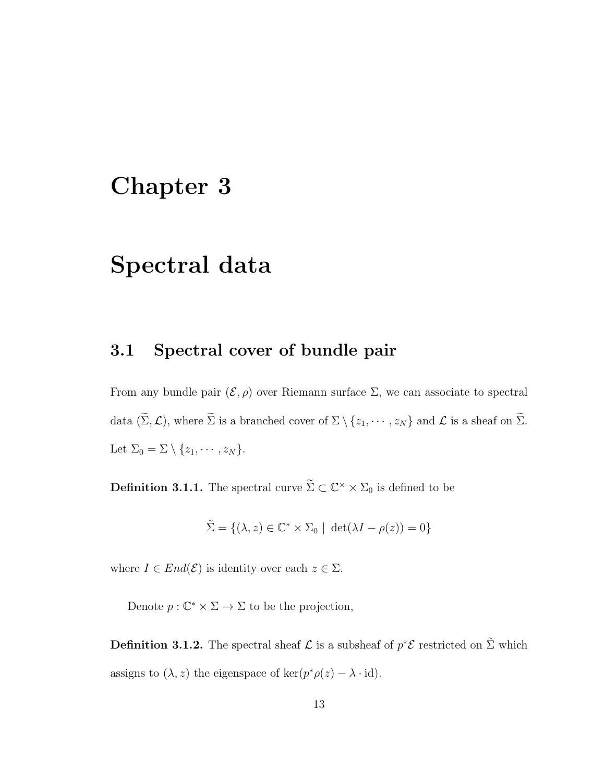### <span id="page-16-0"></span>Chapter 3

## Spectral data

### <span id="page-16-1"></span>3.1 Spectral cover of bundle pair

From any bundle pair  $(\mathcal{E}, \rho)$  over Riemann surface  $\Sigma$ , we can associate to spectral data  $(\widetilde{\Sigma}, \mathcal{L})$ , where  $\widetilde{\Sigma}$  is a branched cover of  $\Sigma \setminus \{z_1, \cdots, z_N\}$  and  $\mathcal{L}$  is a sheaf on  $\widetilde{\Sigma}$ . Let  $\Sigma_0 = \Sigma \setminus \{z_1, \cdots, z_N\}.$ 

**Definition 3.1.1.** The spectral curve  $\widetilde{\Sigma} \subset \mathbb{C}^{\times} \times \Sigma_0$  is defined to be

$$
\tilde{\Sigma} = \{ (\lambda, z) \in \mathbb{C}^* \times \Sigma_0 \mid \det(\lambda I - \rho(z)) = 0 \}
$$

where  $I \in End(\mathcal{E})$  is identity over each  $z \in \Sigma$ .

Denote  $p: \mathbb{C}^* \times \Sigma \to \Sigma$  to be the projection,

**Definition 3.1.2.** The spectral sheaf  $\mathcal{L}$  is a subsheaf of  $p^*\mathcal{E}$  restricted on  $\tilde{\Sigma}$  which assigns to  $(\lambda, z)$  the eigenspace of ker $(p^*\rho(z) - \lambda \cdot id)$ .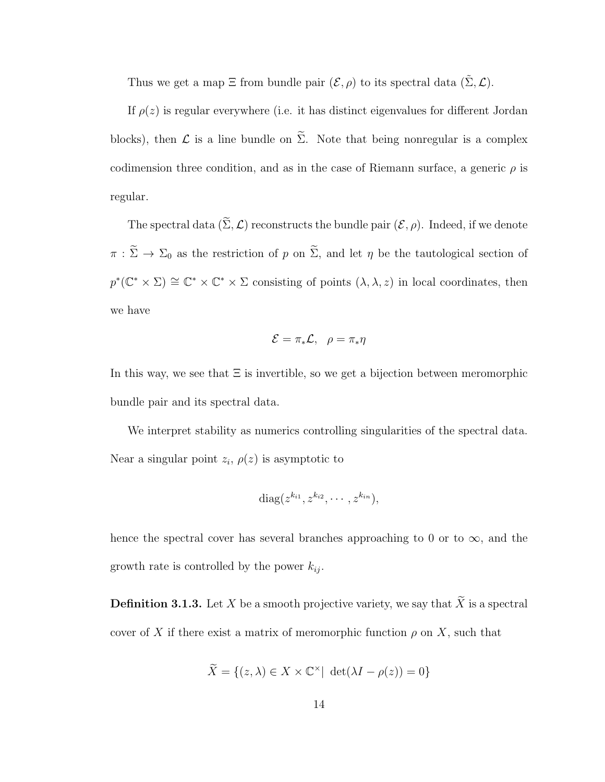Thus we get a map  $\Xi$  from bundle pair  $(\mathcal{E}, \rho)$  to its spectral data  $(\tilde{\Sigma}, \mathcal{L})$ .

If  $\rho(z)$  is regular everywhere (i.e. it has distinct eigenvalues for different Jordan blocks), then  $\mathcal L$  is a line bundle on  $\widetilde{\Sigma}$ . Note that being nonregular is a complex codimension three condition, and as in the case of Riemann surface, a generic  $\rho$  is regular.

The spectral data  $(\widetilde{\Sigma}, \mathcal{L})$  reconstructs the bundle pair  $(\mathcal{E}, \rho)$ . Indeed, if we denote  $\pi : \widetilde{\Sigma} \to \Sigma_0$  as the restriction of p on  $\widetilde{\Sigma}$ , and let  $\eta$  be the tautological section of  $p^*(\mathbb{C}^* \times \Sigma) \cong \mathbb{C}^* \times \mathbb{C}^* \times \Sigma$  consisting of points  $(\lambda, \lambda, z)$  in local coordinates, then we have

$$
\mathcal{E} = \pi_* \mathcal{L}, \ \rho = \pi_* \eta
$$

In this way, we see that  $\Xi$  is invertible, so we get a bijection between meromorphic bundle pair and its spectral data.

We interpret stability as numerics controlling singularities of the spectral data. Near a singular point  $z_i$ ,  $\rho(z)$  is asymptotic to

$$
diag(z^{k_{i1}}, z^{k_{i2}}, \cdots, z^{k_{in}}),
$$

hence the spectral cover has several branches approaching to 0 or to  $\infty$ , and the growth rate is controlled by the power  $k_{ij}$ .

**Definition 3.1.3.** Let X be a smooth projective variety, we say that  $\widetilde{X}$  is a spectral cover of X if there exist a matrix of meromorphic function  $\rho$  on X, such that

$$
\widetilde{X} = \{(z, \lambda) \in X \times \mathbb{C}^{\times} | \det(\lambda I - \rho(z)) = 0\}
$$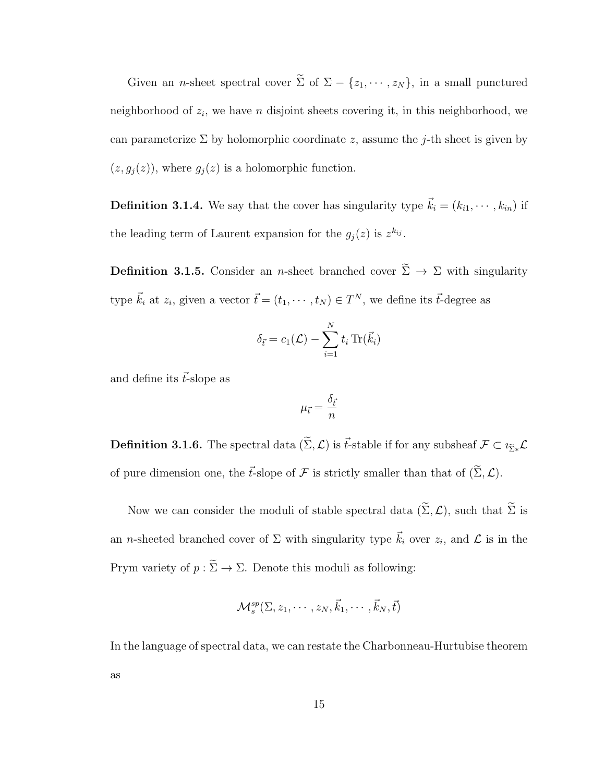Given an *n*-sheet spectral cover  $\widetilde{\Sigma}$  of  $\Sigma - \{z_1, \dots, z_N\}$ , in a small punctured neighborhood of  $z_i$ , we have n disjoint sheets covering it, in this neighborhood, we can parameterize  $\Sigma$  by holomorphic coordinate z, assume the j-th sheet is given by  $(z, g_j(z))$ , where  $g_j(z)$  is a holomorphic function.

**Definition 3.1.4.** We say that the cover has singularity type  $\vec{k}_i = (k_{i1}, \dots, k_{in})$  if the leading term of Laurent expansion for the  $g_j(z)$  is  $z^{k_{ij}}$ .

**Definition 3.1.5.** Consider an *n*-sheet branched cover  $\widetilde{\Sigma} \rightarrow \Sigma$  with singularity type  $\vec{k}_i$  at  $z_i$ , given a vector  $\vec{t} = (t_1, \dots, t_N) \in T^N$ , we define its  $\vec{t}$ -degree as

$$
\delta_{\vec{t}} = c_1(\mathcal{L}) - \sum_{i=1}^N t_i \operatorname{Tr}(\vec{k}_i)
$$

and define its  $\vec{t}$ -slope as

$$
\mu_{\vec{t}} = \frac{\delta_{\vec{t}}}{n}
$$

**Definition 3.1.6.** The spectral data  $(\widetilde{\Sigma}, \mathcal{L})$  is  $\vec{t}$ -stable if for any subsheaf  $\mathcal{F} \subset \iota_{\widetilde{\Sigma}*}\mathcal{L}$ of pure dimension one, the  $\vec{t}$ -slope of  $\mathcal F$  is strictly smaller than that of  $(\tilde{\Sigma}, \mathcal{L})$ .

Now we can consider the moduli of stable spectral data  $(\widetilde{\Sigma}, \mathcal{L})$ , such that  $\widetilde{\Sigma}$  is an *n*-sheeted branched cover of  $\Sigma$  with singularity type  $\vec{k}_i$  over  $z_i$ , and  $\mathcal{L}$  is in the Prym variety of  $p : \widetilde{\Sigma} \to \Sigma$ . Denote this moduli as following:

$$
\mathcal{M}^{sp}_s(\Sigma, z_1, \cdots, z_N, \vec{k}_1, \cdots, \vec{k}_N, \vec{t})
$$

In the language of spectral data, we can restate the Charbonneau-Hurtubise theorem as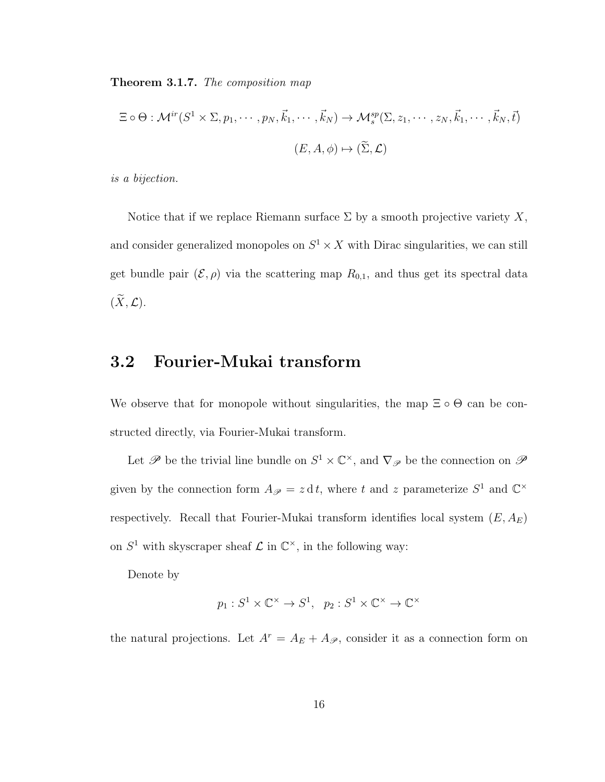Theorem 3.1.7. The composition map

$$
\Xi \circ \Theta : \mathcal{M}^{ir}(S^1 \times \Sigma, p_1, \cdots, p_N, \vec{k}_1, \cdots, \vec{k}_N) \to \mathcal{M}_s^{sp}(\Sigma, z_1, \cdots, z_N, \vec{k}_1, \cdots, \vec{k}_N, \vec{t})
$$

$$
(E, A, \phi) \mapsto (\widetilde{\Sigma}, \mathcal{L})
$$

is a bijection.

Notice that if we replace Riemann surface  $\Sigma$  by a smooth projective variety X, and consider generalized monopoles on  $S^1 \times X$  with Dirac singularities, we can still get bundle pair  $(\mathcal{E}, \rho)$  via the scattering map  $R_{0,1}$ , and thus get its spectral data  $(\widetilde{X}, \mathcal{L}).$ 

### <span id="page-19-0"></span>3.2 Fourier-Mukai transform

We observe that for monopole without singularities, the map  $\Xi \circ \Theta$  can be constructed directly, via Fourier-Mukai transform.

Let  $\mathscr P$  be the trivial line bundle on  $S^1 \times \mathbb C^{\times}$ , and  $\nabla_{\mathscr P}$  be the connection on  $\mathscr P$ given by the connection form  $A_{\mathscr{P}} = z \, dt$ , where t and z parameterize  $S^1$  and  $\mathbb{C}^\times$ respectively. Recall that Fourier-Mukai transform identifies local system  $(E, A_E)$ on  $S^1$  with skyscraper sheaf  $\mathcal L$  in  $\mathbb C^{\times}$ , in the following way:

Denote by

$$
p_1: S^1 \times \mathbb{C}^\times \to S^1, \quad p_2: S^1 \times \mathbb{C}^\times \to \mathbb{C}^\times
$$

the natural projections. Let  $A^r = A_E + A_{\mathscr{P}}$ , consider it as a connection form on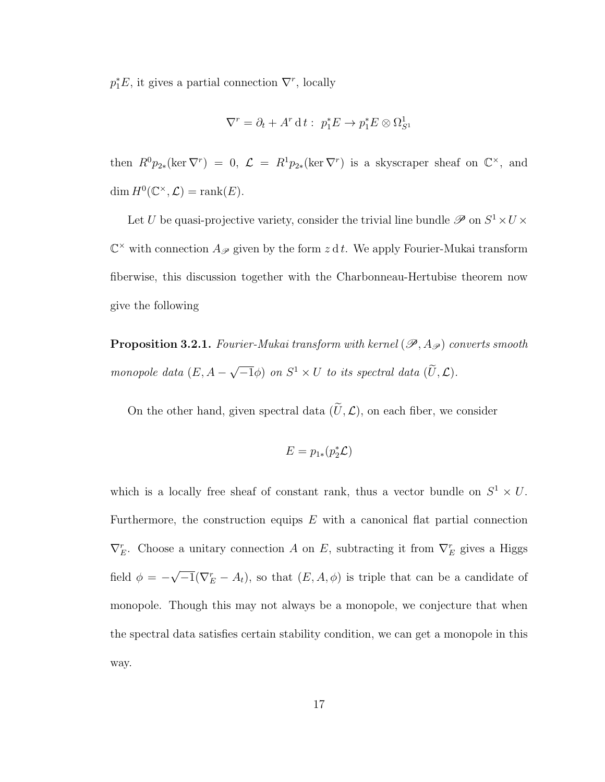$p_1^*E$ , it gives a partial connection  $\nabla^r$ , locally

$$
\nabla^r = \partial_t + A^r \, \mathrm{d} \, t : \ p_1^* E \to p_1^* E \otimes \Omega_{S^1}^1
$$

then  $R^0p_{2*}(\ker \nabla^r) = 0$ ,  $\mathcal{L} = R^1p_{2*}(\ker \nabla^r)$  is a skyscraper sheaf on  $\mathbb{C}^{\times}$ , and dim  $H^0(\mathbb{C}^\times, \mathcal{L}) = \text{rank}(E).$ 

Let U be quasi-projective variety, consider the trivial line bundle  $\mathscr{P}$  on  $S^1 \times U \times$  $\mathbb{C}^{\times}$  with connection  $A_{\mathscr{P}}$  given by the form  $z \, \mathrm{d} t$ . We apply Fourier-Mukai transform fiberwise, this discussion together with the Charbonneau-Hertubise theorem now give the following

<span id="page-20-0"></span>**Proposition 3.2.1.** Fourier-Mukai transform with kernel  $(\mathscr{P}, A_{\mathscr{P}})$  converts smooth monopole data  $(E, A -$ √  $(\overline{U}, \mathcal{L})$  on  $S^1 \times U$  to its spectral data  $(\overline{U}, \mathcal{L})$ .

On the other hand, given spectral data  $(\widetilde{U}, \mathcal{L})$ , on each fiber, we consider

$$
E=p_{1*}(p_2^*\mathcal{L})
$$

which is a locally free sheaf of constant rank, thus a vector bundle on  $S^1 \times U$ . Furthermore, the construction equips  $E$  with a canonical flat partial connection  $\nabla_E^r$ . Choose a unitary connection A on E, subtracting it from  $\nabla_E^r$  gives a Higgs field  $\phi = -$ √  $-\overline{1}(\nabla_E^r - A_t)$ , so that  $(E, A, \phi)$  is triple that can be a candidate of monopole. Though this may not always be a monopole, we conjecture that when the spectral data satisfies certain stability condition, we can get a monopole in this way.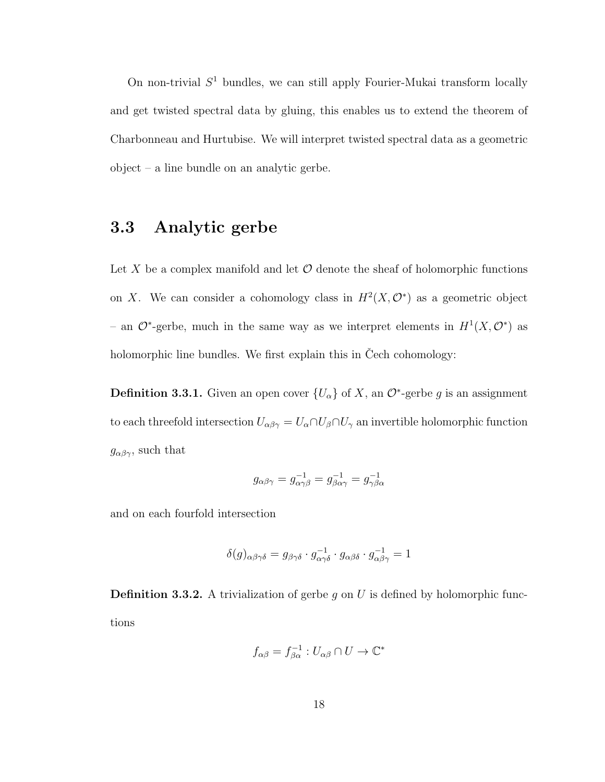On non-trivial  $S<sup>1</sup>$  bundles, we can still apply Fourier-Mukai transform locally and get twisted spectral data by gluing, this enables us to extend the theorem of Charbonneau and Hurtubise. We will interpret twisted spectral data as a geometric object – a line bundle on an analytic gerbe.

### <span id="page-21-0"></span>3.3 Analytic gerbe

Let X be a complex manifold and let  $\mathcal O$  denote the sheaf of holomorphic functions on X. We can consider a cohomology class in  $H^2(X, \mathcal{O}^*)$  as a geometric object – an  $\mathcal{O}^*$ -gerbe, much in the same way as we interpret elements in  $H^1(X, \mathcal{O}^*)$  as holomorphic line bundles. We first explain this in Cech cohomology:

**Definition 3.3.1.** Given an open cover  $\{U_{\alpha}\}\$  of X, an  $\mathcal{O}^*$ -gerbe g is an assignment to each threefold intersection  $U_{\alpha\beta\gamma} = U_{\alpha} \cap U_{\beta} \cap U_{\gamma}$  an invertible holomorphic function  $g_{\alpha\beta\gamma}$ , such that

$$
g_{\alpha\beta\gamma} = g_{\alpha\gamma\beta}^{-1} = g_{\beta\alpha\gamma}^{-1} = g_{\gamma\beta\alpha}^{-1}
$$

and on each fourfold intersection

$$
\delta(g)_{\alpha\beta\gamma\delta} = g_{\beta\gamma\delta} \cdot g_{\alpha\gamma\delta}^{-1} \cdot g_{\alpha\beta\delta} \cdot g_{\alpha\beta\gamma}^{-1} = 1
$$

**Definition 3.3.2.** A trivialization of gerbe g on U is defined by holomorphic functions

$$
f_{\alpha\beta} = f_{\beta\alpha}^{-1} : U_{\alpha\beta} \cap U \to \mathbb{C}^*
$$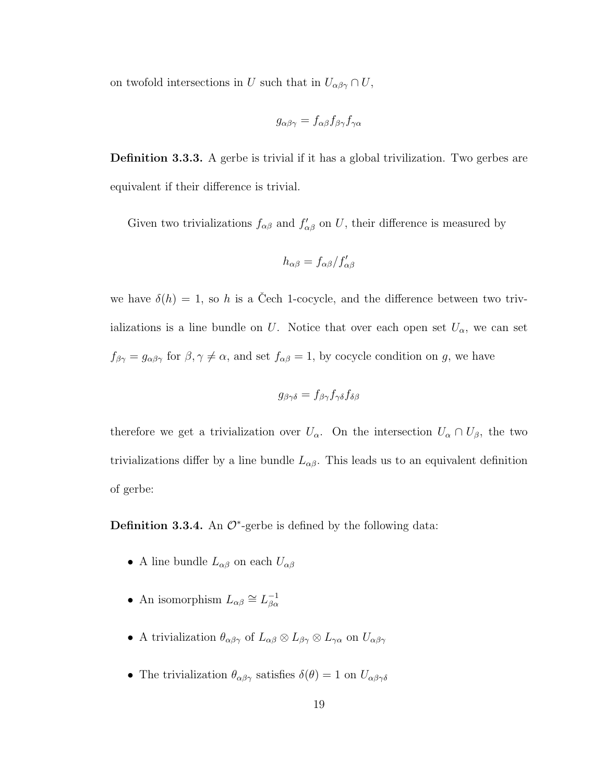on twofold intersections in U such that in  $U_{\alpha\beta\gamma} \cap U$ ,

$$
g_{\alpha\beta\gamma} = f_{\alpha\beta} f_{\beta\gamma} f_{\gamma\alpha}
$$

Definition 3.3.3. A gerbe is trivial if it has a global trivilization. Two gerbes are equivalent if their difference is trivial.

Given two trivializations  $f_{\alpha\beta}$  and  $f'_{\alpha\beta}$  on U, their difference is measured by

$$
h_{\alpha\beta} = f_{\alpha\beta} / f'_{\alpha\beta}
$$

we have  $\delta(h) = 1$ , so h is a Cech 1-cocycle, and the difference between two trivializations is a line bundle on U. Notice that over each open set  $U_{\alpha}$ , we can set  $f_{\beta\gamma} = g_{\alpha\beta\gamma}$  for  $\beta, \gamma \neq \alpha$ , and set  $f_{\alpha\beta} = 1$ , by cocycle condition on g, we have

$$
g_{\beta\gamma\delta} = f_{\beta\gamma} f_{\gamma\delta} f_{\delta\beta}
$$

therefore we get a trivialization over  $U_{\alpha}$ . On the intersection  $U_{\alpha} \cap U_{\beta}$ , the two trivializations differ by a line bundle  $L_{\alpha\beta}$ . This leads us to an equivalent definition of gerbe:

**Definition 3.3.4.** An  $\mathcal{O}^*$ -gerbe is defined by the following data:

- A line bundle  $L_{\alpha\beta}$  on each  $U_{\alpha\beta}$
- An isomorphism  $L_{\alpha\beta} \cong L_{\beta\alpha}^{-1}$  $\beta\alpha$
- A trivialization  $\theta_{\alpha\beta\gamma}$  of  $L_{\alpha\beta}\otimes L_{\beta\gamma}\otimes L_{\gamma\alpha}$  on  $U_{\alpha\beta\gamma}$
- The trivialization  $\theta_{\alpha\beta\gamma}$  satisfies  $\delta(\theta) = 1$  on  $U_{\alpha\beta\gamma\delta}$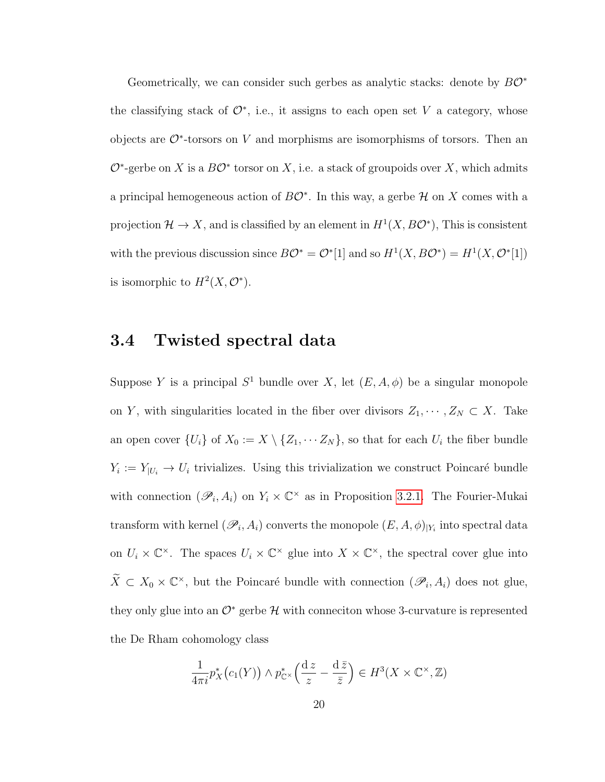Geometrically, we can consider such gerbes as analytic stacks: denote by  $B\mathcal{O}^*$ the classifying stack of  $\mathcal{O}^*$ , i.e., it assigns to each open set V a category, whose objects are  $\mathcal{O}^*$ -torsors on V and morphisms are isomorphisms of torsors. Then an  $\mathcal{O}^*$ -gerbe on X is a  $B\mathcal{O}^*$  torsor on X, i.e. a stack of groupoids over X, which admits a principal hemogeneous action of  $B\mathcal{O}^*$ . In this way, a gerbe  $\mathcal H$  on X comes with a projection  $\mathcal{H} \to X$ , and is classified by an element in  $H^1(X, B\mathcal{O}^*)$ , This is consistent with the previous discussion since  $B\mathcal{O}^* = \mathcal{O}^*[1]$  and so  $H^1(X, B\mathcal{O}^*) = H^1(X, \mathcal{O}^*[1])$ is isomorphic to  $H^2(X, \mathcal{O}^*)$ .

### <span id="page-23-0"></span>3.4 Twisted spectral data

Suppose Y is a principal  $S^1$  bundle over X, let  $(E, A, \phi)$  be a singular monopole on Y, with singularities located in the fiber over divisors  $Z_1, \dots, Z_N \subset X$ . Take an open cover  $\{U_i\}$  of  $X_0 := X \setminus \{Z_1, \cdots Z_N\}$ , so that for each  $U_i$  the fiber bundle  $Y_i := Y_{|U_i} \to U_i$  trivializes. Using this trivialization we construct Poincaré bundle with connection  $(\mathscr{P}_i, A_i)$  on  $Y_i \times \mathbb{C}^\times$  as in Proposition [3.2.1.](#page-20-0) The Fourier-Mukai transform with kernel  $(\mathscr{P}_i, A_i)$  converts the monopole  $(E, A, \phi)_{|Y_i}$  into spectral data on  $U_i \times \mathbb{C}^{\times}$ . The spaces  $U_i \times \mathbb{C}^{\times}$  glue into  $X \times \mathbb{C}^{\times}$ , the spectral cover glue into  $\widetilde{X} \subset X_0 \times \mathbb{C}^{\times}$ , but the Poincaré bundle with connection  $(\mathscr{P}_i, A_i)$  does not glue, they only glue into an  $\mathcal{O}^*$  gerbe  $\mathcal H$  with conneciton whose 3-curvature is represented the De Rham cohomology class

$$
\frac{1}{4\pi i}p_X^*\big(c_1(Y)\big) \wedge p_{\mathbb{C}^\times}^*\Big(\frac{\mathrm{d}\,z}{z}-\frac{\mathrm{d}\,\bar{z}}{\bar{z}}\Big) \in H^3(X \times \mathbb{C}^\times, \mathbb{Z})
$$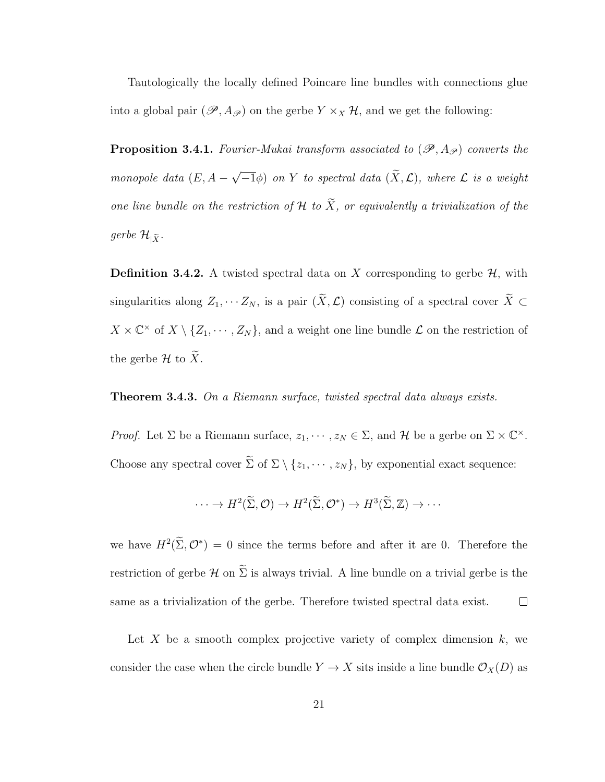Tautologically the locally defined Poincare line bundles with connections glue into a global pair  $(\mathscr{P}, A_{\mathscr{P}})$  on the gerbe  $Y \times_X \mathcal{H}$ , and we get the following:

**Proposition 3.4.1.** Fourier-Mukai transform associated to  $(\mathscr{P}, A_{\mathscr{P}})$  converts the monopole data  $(E, A -$ √  $(\overline{-1}\phi)$  on Y to spectral data  $(X, \mathcal{L})$ , where  $\mathcal L$  is a weight one line bundle on the restriction of  $\mathcal H$  to  $\widetilde X$ , or equivalently a trivialization of the gerbe  $\mathcal{H}_{|\widetilde{X}}$ .

**Definition 3.4.2.** A twisted spectral data on X corresponding to gerbe  $H$ , with singularities along  $Z_1, \cdots Z_N$ , is a pair  $(\widetilde{X}, \mathcal{L})$  consisting of a spectral cover  $\widetilde{X} \subset$  $X \times \mathbb{C}^{\times}$  of  $X \setminus \{Z_1, \cdots, Z_N\}$ , and a weight one line bundle  $\mathcal L$  on the restriction of the gerbe  $\mathcal H$  to  $\widetilde X$ .

#### **Theorem 3.4.3.** On a Riemann surface, twisted spectral data always exists.

*Proof.* Let  $\Sigma$  be a Riemann surface,  $z_1, \dots, z_N \in \Sigma$ , and  $\mathcal H$  be a gerbe on  $\Sigma \times \mathbb C^{\times}$ . Choose any spectral cover  $\widetilde{\Sigma}$  of  $\Sigma \setminus \{z_1, \cdots, z_N\}$ , by exponential exact sequence:

$$
\cdots \to H^2(\widetilde{\Sigma}, \mathcal{O}) \to H^2(\widetilde{\Sigma}, \mathcal{O}^*) \to H^3(\widetilde{\Sigma}, \mathbb{Z}) \to \cdots
$$

we have  $H^2(\Sigma, \mathcal{O}^*) = 0$  since the terms before and after it are 0. Therefore the restriction of gerbe  $\mathcal H$  on  $\widetilde{\Sigma}$  is always trivial. A line bundle on a trivial gerbe is the same as a trivialization of the gerbe. Therefore twisted spectral data exist.  $\Box$ 

Let X be a smooth complex projective variety of complex dimension  $k$ , we consider the case when the circle bundle  $Y \to X$  sits inside a line bundle  $\mathcal{O}_X(D)$  as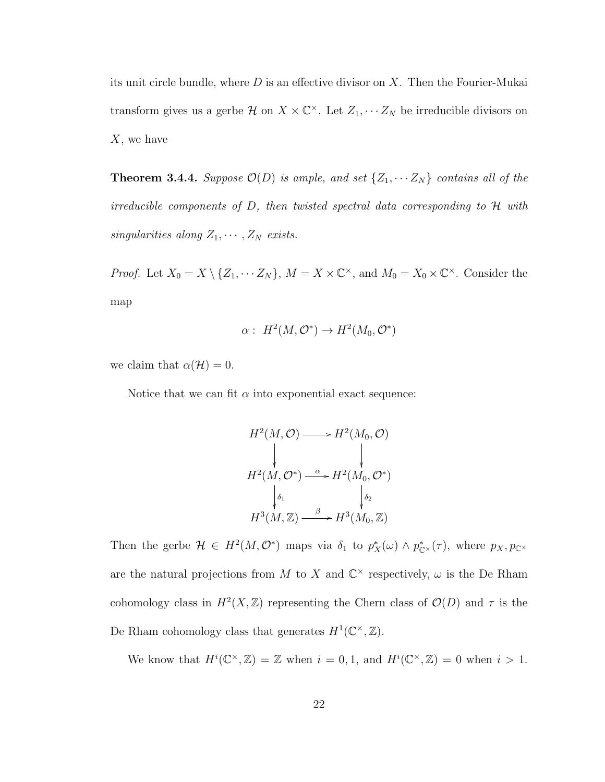its unit circle bundle, where  $D$  is an effective divisor on  $X$ . Then the Fourier-Mukai transform gives us a gerbe  $\mathcal{H}$  on  $X \times \mathbb{C}^{\times}$ . Let  $Z_1, \cdots Z_N$  be irreducible divisors on  $X$ , we have

**Theorem 3.4.4.** Suppose  $\mathcal{O}(D)$  is ample, and set  $\{Z_1, \cdots Z_N\}$  contains all of the irreducible components of  $D$ , then twisted spectral data corresponding to  $\mathcal H$  with singularities along  $Z_1, \cdots, Z_N$  exists.

*Proof.* Let  $X_0 = X \setminus \{Z_1, \cdots Z_N\}$ ,  $M = X \times \mathbb{C}^{\times}$ , and  $M_0 = X_0 \times \mathbb{C}^{\times}$ . Consider the map

$$
\alpha: H^2(M, \mathcal{O}^*) \to H^2(M_0, \mathcal{O}^*)
$$

we claim that  $\alpha(\mathcal{H})=0$ .

Notice that we can fit  $\alpha$  into exponential exact sequence:

$$
H^2(M, \mathcal{O}) \longrightarrow H^2(M_0, \mathcal{O})
$$
  
\n
$$
H^2(M, \mathcal{O}^*) \xrightarrow{\alpha} H^2(M_0, \mathcal{O}^*)
$$
  
\n
$$
\downarrow_{\delta_1} \qquad \qquad \downarrow_{\delta_2}
$$
  
\n
$$
H^3(M, \mathbb{Z}) \xrightarrow{\beta} H^3(M_0, \mathbb{Z})
$$

Then the gerbe  $\mathcal{H} \in H^2(M, \mathcal{O}^*)$  maps via  $\delta_1$  to  $p_X^*(\omega) \wedge p_{\mathbb{C}^*}^*(\tau)$ , where  $p_X, p_{\mathbb{C}^*}$ are the natural projections from M to X and  $\mathbb{C}^{\times}$  respectively,  $\omega$  is the De Rham cohomology class in  $H^2(X,\mathbb{Z})$  representing the Chern class of  $\mathcal{O}(D)$  and  $\tau$  is the De Rham cohomology class that generates  $H^1(\mathbb{C}^\times, \mathbb{Z})$ .

We know that  $H^i(\mathbb{C}^\times,\mathbb{Z}) = \mathbb{Z}$  when  $i = 0,1$ , and  $H^i(\mathbb{C}^\times,\mathbb{Z}) = 0$  when  $i > 1$ .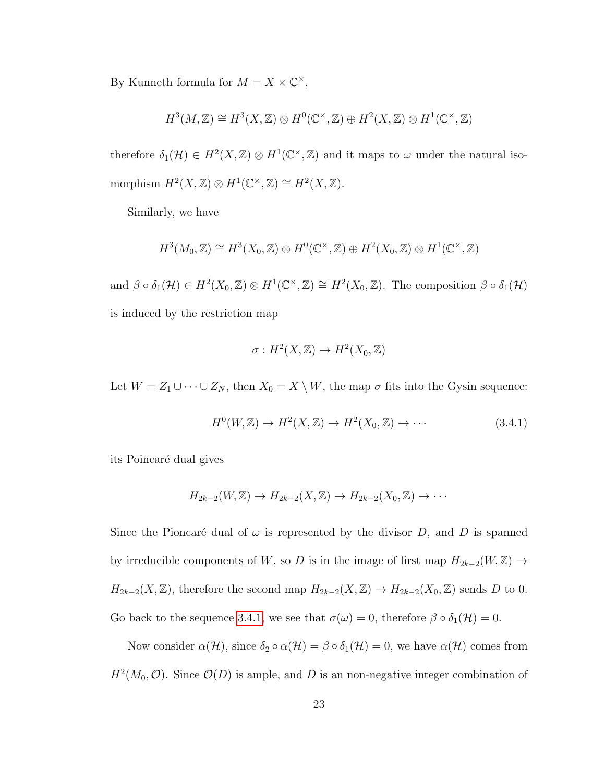By Kunneth formula for  $M = X \times \mathbb{C}^{\times}$ ,

$$
H^3(M, \mathbb{Z}) \cong H^3(X, \mathbb{Z}) \otimes H^0(\mathbb{C}^{\times}, \mathbb{Z}) \oplus H^2(X, \mathbb{Z}) \otimes H^1(\mathbb{C}^{\times}, \mathbb{Z})
$$

therefore  $\delta_1(\mathcal{H}) \in H^2(X,\mathbb{Z}) \otimes H^1(\mathbb{C}^\times,\mathbb{Z})$  and it maps to  $\omega$  under the natural isomorphism  $H^2(X, \mathbb{Z}) \otimes H^1(\mathbb{C}^\times, \mathbb{Z}) \cong H^2(X, \mathbb{Z}).$ 

Similarly, we have

$$
H^3(M_0, \mathbb{Z}) \cong H^3(X_0, \mathbb{Z}) \otimes H^0(\mathbb{C}^{\times}, \mathbb{Z}) \oplus H^2(X_0, \mathbb{Z}) \otimes H^1(\mathbb{C}^{\times}, \mathbb{Z})
$$

and  $\beta \circ \delta_1(\mathcal{H}) \in H^2(X_0, \mathbb{Z}) \otimes H^1(\mathbb{C}^\times, \mathbb{Z}) \cong H^2(X_0, \mathbb{Z})$ . The composition  $\beta \circ \delta_1(\mathcal{H})$ is induced by the restriction map

$$
\sigma: H^2(X,\mathbb{Z}) \to H^2(X_0,\mathbb{Z})
$$

Let  $W = Z_1 \cup \cdots \cup Z_N$ , then  $X_0 = X \setminus W$ , the map  $\sigma$  fits into the Gysin sequence:

<span id="page-26-0"></span>
$$
H^{0}(W, \mathbb{Z}) \to H^{2}(X, \mathbb{Z}) \to H^{2}(X_{0}, \mathbb{Z}) \to \cdots
$$
\n(3.4.1)

its Poincaré dual gives

$$
H_{2k-2}(W,\mathbb{Z})\to H_{2k-2}(X,\mathbb{Z})\to H_{2k-2}(X_0,\mathbb{Z})\to\cdots
$$

Since the Pioncaré dual of  $\omega$  is represented by the divisor D, and D is spanned by irreducible components of W, so D is in the image of first map  $H_{2k-2}(W,\mathbb{Z}) \rightarrow$  $H_{2k-2}(X,\mathbb{Z})$ , therefore the second map  $H_{2k-2}(X,\mathbb{Z}) \to H_{2k-2}(X_0,\mathbb{Z})$  sends D to 0. Go back to the sequence [3.4.1,](#page-26-0) we see that  $\sigma(\omega) = 0$ , therefore  $\beta \circ \delta_1(\mathcal{H}) = 0$ .

Now consider  $\alpha(\mathcal{H})$ , since  $\delta_2 \circ \alpha(\mathcal{H}) = \beta \circ \delta_1(\mathcal{H}) = 0$ , we have  $\alpha(\mathcal{H})$  comes from  $H^2(M_0, \mathcal{O})$ . Since  $\mathcal{O}(D)$  is ample, and D is an non-negative integer combination of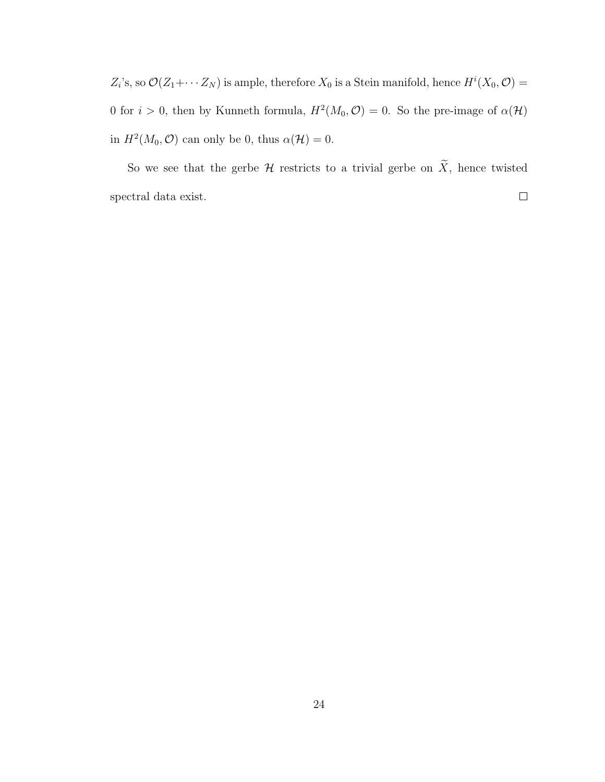$Z_i$ 's, so  $\mathcal{O}(Z_1 + \cdots Z_N)$  is ample, therefore  $X_0$  is a Stein manifold, hence  $H^i(X_0, \mathcal{O}) =$ 0 for  $i > 0$ , then by Kunneth formula,  $H^2(M_0, \mathcal{O}) = 0$ . So the pre-image of  $\alpha(\mathcal{H})$ in  $H^2(M_0, \mathcal{O})$  can only be 0, thus  $\alpha(\mathcal{H}) = 0$ .

So we see that the gerbe  $\mathcal H$  restricts to a trivial gerbe on  $\widetilde X$ , hence twisted  $\Box$ spectral data exist.